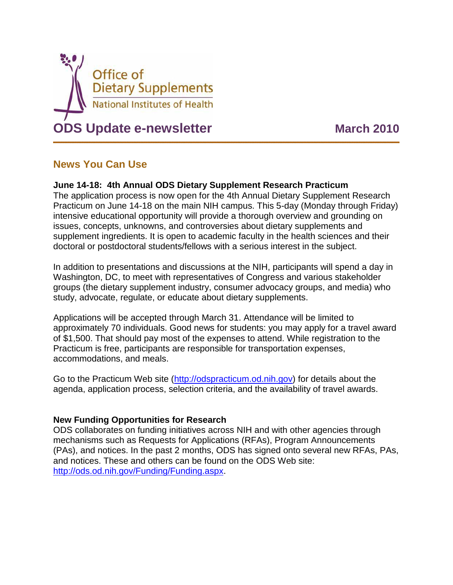

## **News You Can Use**

## **June 14-18: 4th Annual ODS Dietary Supplement Research Practicum**

The application process is now open for the 4th Annual Dietary Supplement Research Practicum on June 14-18 on the main NIH campus. This 5-day (Monday through Friday) intensive educational opportunity will provide a thorough overview and grounding on issues, concepts, unknowns, and controversies about dietary supplements and supplement ingredients. It is open to academic faculty in the health sciences and their doctoral or postdoctoral students/fellows with a serious interest in the subject.

In addition to presentations and discussions at the NIH, participants will spend a day in Washington, DC, to meet with representatives of Congress and various stakeholder groups (the dietary supplement industry, consumer advocacy groups, and media) who study, advocate, regulate, or educate about dietary supplements.

Applications will be accepted through March 31. Attendance will be limited to approximately 70 individuals. Good news for students: you may apply for a travel award of \$1,500. That should pay most of the expenses to attend. While registration to the Practicum is free, participants are responsible for transportation expenses, accommodations, and meals.

Go to the Practicum Web site [\(http://odspracticum.od.nih.gov\)](http://odspracticum.od.nih.gov/) for details about the agenda, application process, selection criteria, and the availability of travel awards.

## **New Funding Opportunities for Research**

ODS collaborates on funding initiatives across NIH and with other agencies through mechanisms such as Requests for Applications (RFAs), Program Announcements (PAs), and notices. In the past 2 months, ODS has signed onto several new RFAs, PAs, and notices. These and others can be found on the ODS Web site: [http://ods.od.nih.gov/Funding/Funding.aspx.](http://ods.od.nih.gov/Funding/Funding.aspx)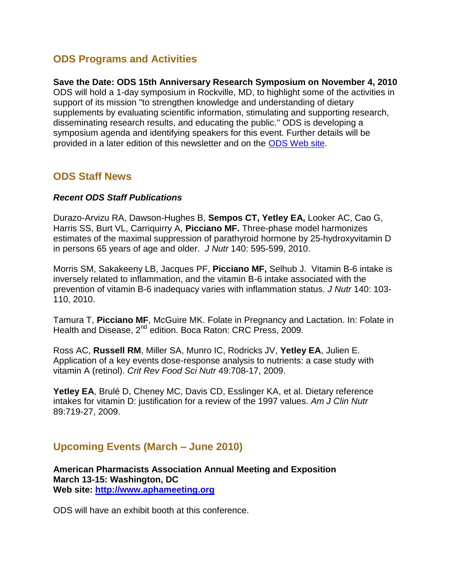## **ODS Programs and Activities**

**Save the Date: ODS 15th Anniversary Research Symposium on November 4, 2010** ODS will hold a 1-day symposium in Rockville, MD, to highlight some of the activities in support of its mission "to strengthen knowledge and understanding of dietary supplements by evaluating scientific information, stimulating and supporting research, disseminating research results, and educating the public." ODS is developing a symposium agenda and identifying speakers for this event. Further details will be provided in a later edition of this newsletter and on the [ODS Web site.](http://ods.od.nih.gov/)

## **ODS Staff News**

## *Recent ODS Staff Publications*

Durazo-Arvizu RA, Dawson-Hughes B, **Sempos CT, Yetley EA,** Looker AC, Cao G, Harris SS, Burt VL, Carriquirry A, **Picciano MF.** Three-phase model harmonizes estimates of the maximal suppression of parathyroid hormone by 25-hydroxyvitamin D in persons 65 years of age and older. *J Nutr* 140: 595-599, 2010.

Morris SM, Sakakeeny LB, Jacques PF, **Picciano MF,** Selhub J. Vitamin B-6 intake is inversely related to inflammation, and the vitamin B-6 intake associated with the prevention of vitamin B-6 inadequacy varies with inflammation status. *J Nutr* 140: 103- 110, 2010.

Tamura T, **Picciano MF**, McGuire MK. Folate in Pregnancy and Lactation. In: Folate in Health and Disease, 2<sup>nd</sup> edition. Boca Raton: CRC Press, 2009.

Ross AC, **Russell RM**, Miller SA, Munro IC, Rodricks JV, **Yetley EA**, Julien E. [Application of a key events dose-response analysis to nutrients: a case study with](http://www.ncbi.nlm.nih.gov/pubmed/19690996?itool=EntrezSystem2.PEntrez.Pubmed.Pubmed_ResultsPanel.Pubmed_RVDocSum&ordinalpos=2)  [vitamin A \(retinol\).](http://www.ncbi.nlm.nih.gov/pubmed/19690996?itool=EntrezSystem2.PEntrez.Pubmed.Pubmed_ResultsPanel.Pubmed_RVDocSum&ordinalpos=2) *Crit Rev Food Sci Nutr* 49:708-17, 2009.

**Yetley EA**, Brulé D, Cheney MC, Davis CD, Esslinger KA, et al. Dietary reference intakes for vitamin D: justification for a review of the 1997 values. *Am J Clin Nutr* 89:719-27, 2009.

# **Upcoming Events (March – June 2010)**

**American Pharmacists Association Annual Meeting and Exposition March 13-15: Washington, DC Web site: [http://www.aphameeting.org](http://www.aphameeting.org/)**

ODS will have an exhibit booth at this conference.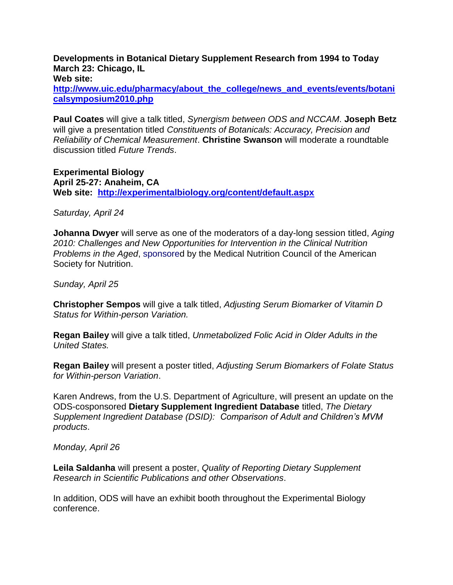**Developments in Botanical Dietary Supplement Research from 1994 to Today March 23: Chicago, IL**

**Web site:** 

**[http://www.uic.edu/pharmacy/about\\_the\\_college/news\\_and\\_events/events/botani](http://www.uic.edu/pharmacy/about_the_college/news_and_events/events/botanicalsymposium2010.php) [calsymposium2010.php](http://www.uic.edu/pharmacy/about_the_college/news_and_events/events/botanicalsymposium2010.php)**

**Paul Coates** will give a talk titled, *Synergism between ODS and NCCAM*. **Joseph Betz** will give a presentation titled *Constituents of Botanicals: Accuracy, Precision and Reliability of Chemical Measurement*. **Christine Swanson** will moderate a roundtable discussion titled *Future Trends*.

**Experimental Biology April 25-27: Anaheim, CA Web site: <http://experimentalbiology.org/content/default.aspx>**

*Saturday, April 24*

**Johanna Dwyer** will serve as one of the moderators of a day-long session titled, *Aging 2010: Challenges and New Opportunities for Intervention in the Clinical Nutrition Problems in the Aged*, sponsored by the Medical Nutrition Council of the American Society for Nutrition.

*Sunday, April 25*

**Christopher Sempos** will give a talk titled, *Adjusting Serum Biomarker of Vitamin D Status for Within-person Variation.*

**Regan Bailey** will give a talk titled, *Unmetabolized Folic Acid in Older Adults in the United States.*

**Regan Bailey** will present a poster titled, *Adjusting Serum Biomarkers of Folate Status for Within-person Variation*.

Karen Andrews, from the U.S. Department of Agriculture, will present an update on the ODS-cosponsored **Dietary Supplement Ingredient Database** titled, *The Dietary Supplement Ingredient Database (DSID): Comparison of Adult and Children's MVM products*.

*Monday, April 26*

**Leila Saldanha** will present a poster, *Quality of Reporting Dietary Supplement Research in Scientific Publications and other Observations*.

In addition, ODS will have an exhibit booth throughout the Experimental Biology conference.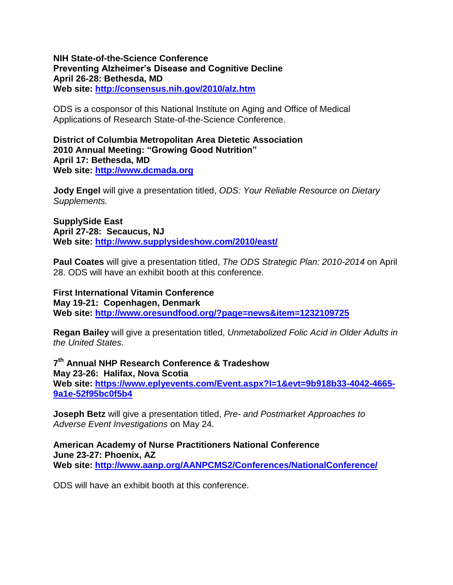#### **NIH State-of-the-Science Conference Preventing Alzheimer's Disease and Cognitive Decline April 26-28: Bethesda, MD Web site:<http://consensus.nih.gov/2010/alz.htm>**

ODS is a cosponsor of this National Institute on Aging and Office of Medical Applications of Research State-of-the-Science Conference.

**District of Columbia Metropolitan Area Dietetic Association 2010 Annual Meeting: "Growing Good Nutrition" April 17: Bethesda, MD Web site: [http://www.dcmada.org](http://www.dcmada.org/)**

**Jody Engel** will give a presentation titled, *ODS: Your Reliable Resource on Dietary Supplements.*

**SupplySide East April 27-28: Secaucus, NJ Web site: <http://www.supplysideshow.com/2010/east/>**

**Paul Coates** will give a presentation titled, *The ODS Strategic Plan: 2010-2014* on April 28. ODS will have an exhibit booth at this conference.

**First International Vitamin Conference May 19-21: Copenhagen, Denmark Web site:<http://www.oresundfood.org/?page=news&item=1232109725>**

**Regan Bailey** will give a presentation titled, *Unmetabolized Folic Acid in Older Adults in the United States.*

**7 th Annual NHP Research Conference & Tradeshow May 23-26: Halifax, Nova Scotia Web site: [https://www.eplyevents.com/Event.aspx?l=1&evt=9b918b33-4042-4665-](https://www.eplyevents.com/Event.aspx?l=1&evt=9b918b33-4042-4665-9a1e-52f95bc0f5b4) [9a1e-52f95bc0f5b4](https://www.eplyevents.com/Event.aspx?l=1&evt=9b918b33-4042-4665-9a1e-52f95bc0f5b4)**

**Joseph Betz** will give a presentation titled, *Pre- and Postmarket Approaches to Adverse Event Investigations* on May 24.

**American Academy of Nurse Practitioners National Conference June 23-27: Phoenix, AZ Web site: <http://www.aanp.org/AANPCMS2/Conferences/NationalConference/>**

ODS will have an exhibit booth at this conference.